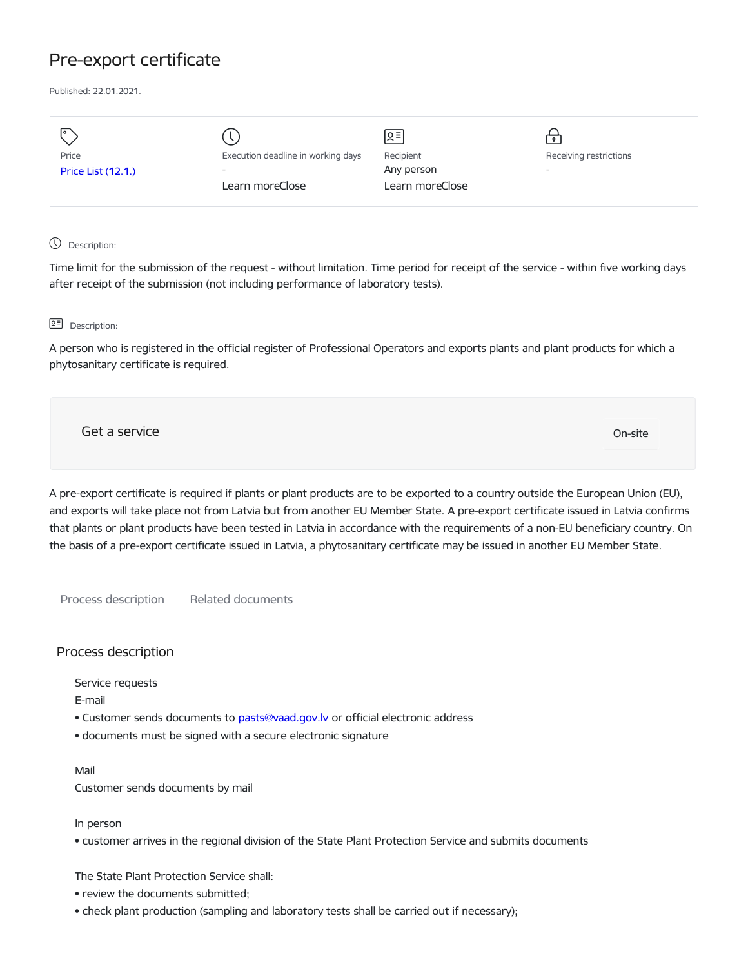# Pre-export certificate

Published: 22.01.2021.

| I۰                        |                                    | $\sqrt{2}$      |                          |
|---------------------------|------------------------------------|-----------------|--------------------------|
| Price                     | Execution deadline in working days | Recipient       | Receiving restrictions   |
| <b>Price List (12.1.)</b> | $\overline{\phantom{0}}$           | Any person      | $\overline{\phantom{0}}$ |
|                           | Learn moreClose                    | Learn moreClose |                          |
|                           |                                    |                 |                          |

## Description:

Time limit for the submission of the request - without limitation. Time period for receipt of the service - within five working days after receipt of the submission (not including performance of laboratory tests).

#### **Q<sup></sup> Description:**

A person who is registered in the official register of Professional Operators and exports plants and plant products for which a phytosanitary certificate is required.

Get a service On-site

A pre-export certificate is required if plants or plant products are to be exported to a country outside the European Union (EU), and exports will take place not from Latvia but from another EU Member State. A pre-export certificate issued in Latvia confirms that plants or plant products have been tested in Latvia in accordance with the requirements of a non-EU beneficiary country. On the basis of a pre-export certificate issued in Latvia, a phytosanitary certificate may be issued in another EU Member State.

Process description Related documents

# Process description

Service requests

E-mail

- Customer sends documents to pasts@vaad.gov.ly or official electronic address
- documents must be signed with a secure electronic signature

Mail

Customer sends documents by mail

In person

• customer arrives in the regional division of the State Plant Protection Service and submits documents

The State Plant Protection Service shall:

- review the documents submitted;
- check plant production (sampling and laboratory tests shall be carried out if necessary);